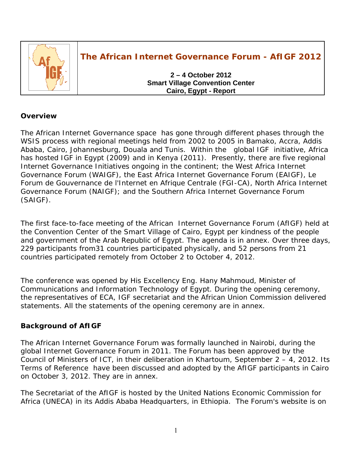

# **The African Internet Governance Forum - AfIGF 2012**

**2 – 4 October 2012 Smart Village Convention Center Cairo, Egypt - Report** 

## **Overview**

The African Internet Governance space has gone through different phases through the WSIS process with regional meetings held from 2002 to 2005 in Bamako, Accra, Addis Ababa, Cairo, Johannesburg, Douala and Tunis. Within the global IGF initiative, Africa has hosted IGF in Egypt (2009) and in Kenya (2011). Presently, there are five regional Internet Governance Initiatives ongoing in the continent; the West Africa Internet Governance Forum (WAIGF), the East Africa Internet Governance Forum (EAIGF), Le Forum de Gouvernance de l'Internet en Afrique Centrale (FGI-CA), North Africa Internet Governance Forum (NAIGF); and the Southern Africa Internet Governance Forum (SAIGF).

The first face-to-face meeting of the African Internet Governance Forum (AfIGF) held at the Convention Center of the Smart Village of Cairo, Egypt per kindness of the people and government of the Arab Republic of Egypt. The agenda is in annex. Over three days, 229 participants from31 countries participated physically, and 52 persons from 21 countries participated remotely from October 2 to October 4, 2012.

The conference was opened by His Excellency Eng. Hany Mahmoud, Minister of Communications and Information Technology of Egypt. During the opening ceremony, the representatives of ECA, IGF secretariat and the African Union Commission delivered statements. All the statements of the opening ceremony are in annex.

## **Background of AfIGF**

The African Internet Governance Forum was formally launched in Nairobi, during the global Internet Governance Forum in 2011. The Forum has been approved by the Council of Ministers of ICT, in their deliberation in Khartoum, September 2 – 4, 2012. Its Terms of Reference have been discussed and adopted by the AfIGF participants in Cairo on October 3, 2012. They are in annex.

The Secretariat of the AfIGF is hosted by the United Nations Economic Commission for Africa (UNECA) in its Addis Ababa Headquarters, in Ethiopia. The Forum's website is on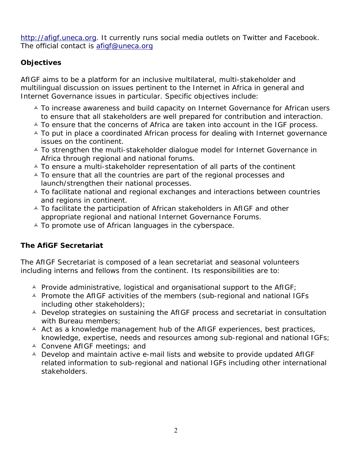http://afigf.uneca.org. It currently runs social media outlets on Twitter and Facebook. The official contact is afigf@uneca.org

# **Objectives**

AfIGF aims to be a platform for an inclusive multilateral, multi-stakeholder and multilingual discussion on issues pertinent to the Internet in Africa in general and Internet Governance issues in particular. Specific objectives include:

- $\overline{\phantom{a}}$  To increase awareness and build capacity on Internet Governance for African users to ensure that all stakeholders are well prepared for contribution and interaction.
- $\triangle$  To ensure that the concerns of Africa are taken into account in the IGF process.
- $\triangle$  To put in place a coordinated African process for dealing with Internet governance issues on the continent.
- A To strengthen the multi-stakeholder dialogue model for Internet Governance in Africa through regional and national forums.
- $\triangle$  To ensure a multi-stakeholder representation of all parts of the continent
- $\triangle$  To ensure that all the countries are part of the regional processes and launch/strengthen their national processes.
- $\triangle$  To facilitate national and regional exchanges and interactions between countries and regions in continent.
- $\triangle$  To facilitate the participation of African stakeholders in AfIGF and other appropriate regional and national Internet Governance Forums.
- $\overline{A}$  To promote use of African languages in the cyberspace.

# **The AfiGF Secretariat**

The AfIGF Secretariat is composed of a lean secretariat and seasonal volunteers including interns and fellows from the continent. Its responsibilities are to:

- $\triangle$  Provide administrative, logistical and organisational support to the AfIGF;
- $\triangle$  Promote the AfIGF activities of the members (sub-regional and national IGFs including other stakeholders);
- $\triangle$  Develop strategies on sustaining the AfIGF process and secretariat in consultation with Bureau members;
- $\triangle$  Act as a knowledge management hub of the AfIGF experiences, best practices, knowledge, expertise, needs and resources among sub-regional and national IGFs;
- $\triangle$  Convene AfIGF meetings; and
- $\triangle$  Develop and maintain active e-mail lists and website to provide updated AfIGF related information to sub-regional and national IGFs including other international stakeholders.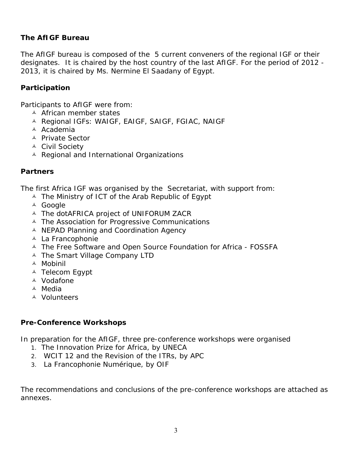## **The AfIGF Bureau**

The AfIGF bureau is composed of the 5 current conveners of the regional IGF or their designates. It is chaired by the host country of the last AfIGF. For the period of 2012 - 2013, it is chaired by Ms. Nermine El Saadany of Egypt.

## **Participation**

Participants to AfIGF were from:

- $\triangle$  African member states
- A Regional IGFs: WAIGF, EAIGF, SAIGF, FGIAC, NAIGF
- <sup> $\triangle$ </sup> Academia
- A Private Sector
- <sup> $\triangle$ </sup> Civil Society
- $\triangle$  Regional and International Organizations

#### **Partners**

The first Africa IGF was organised by the Secretariat, with support from:

- $\triangle$  The Ministry of ICT of the Arab Republic of Egypt
- <sup> $\triangle$ </sup> Google
- $\triangle$  The dotAFRICA project of UNIFORUM ZACR
- $\triangle$  The Association for Progressive Communications
- $\triangle$  NEPAD Planning and Coordination Agency
- $\triangle$  La Francophonie
- $\triangle$  The Free Software and Open Source Foundation for Africa FOSSFA
- $\triangle$  The Smart Village Company LTD
- $\triangle$  Mobinil
- <sup> $\triangle$ </sup> Telecom Egypt
- $\triangle$  Vodafone
- Ó Media
- <sup>A</sup> Volunteers

## **Pre-Conference Workshops**

In preparation for the AfIGF, three pre-conference workshops were organised

- 1. The Innovation Prize for Africa, by UNECA
- 2. WCIT 12 and the Revision of the ITRs, by APC
- 3. La Francophonie Numérique, by OIF

The recommendations and conclusions of the pre-conference workshops are attached as annexes.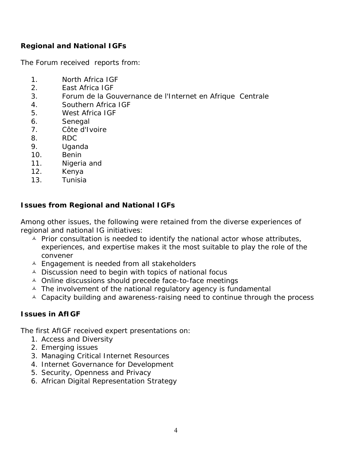# **Regional and National IGFs**

The Forum received reports from:

- 1. North Africa IGF
- 2. East Africa IGF
- 3. Forum de la Gouvernance de l'Internet en Afrique Centrale
- 4. Southern Africa IGF
- 5. West Africa IGF
- 6. Senegal
- 7. Côte d'Ivoire
- 8. RDC
- 9. Uganda
- 10. Benin
- 11. Nigeria and
- 12. Kenya
- 13. Tunisia

# **Issues from Regional and National IGFs**

Among other issues, the following were retained from the diverse experiences of regional and national IG initiatives:

- $\triangle$  Prior consultation is needed to identify the national actor whose attributes, experiences, and expertise makes it the most suitable to play the role of the convener
- $\triangle$  Engagement is needed from all stakeholders
- $\triangle$  Discussion need to begin with topics of national focus
- $\triangle$  Online discussions should precede face-to-face meetings
- $\triangle$  The involvement of the national regulatory agency is fundamental
- $\triangle$  Capacity building and awareness-raising need to continue through the process

## **Issues in AfIGF**

The first AfIGF received expert presentations on:

- 1. Access and Diversity
- 2. Emerging issues
- 3. Managing Critical Internet Resources
- 4. Internet Governance for Development
- 5. Security, Openness and Privacy
- 6. African Digital Representation Strategy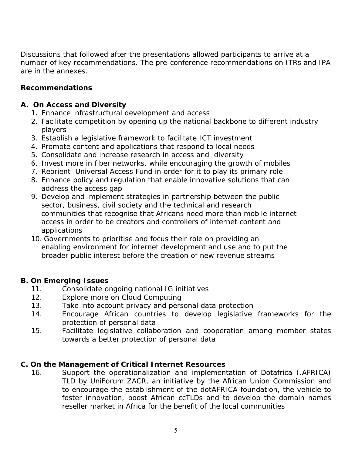Discussions that followed after the presentations allowed participants to arrive at a number of key recommendations. The pre-conference recommendations on ITRs and IPA are in the annexes.

## **Recommendations**

## **A. On Access and Diversity**

- 1. Enhance infrastructural development and access
- 2. Facilitate competition by opening up the national backbone to different industry players
- 3. Establish a legislative framework to facilitate ICT investment
- 4. Promote content and applications that respond to local needs
- 5. Consolidate and increase research in access and diversity
- 6. Invest more in fiber networks, while encouraging the growth of mobiles
- 7. Reorient Universal Access Fund in order for it to play its primary role
- 8. Enhance policy and regulation that enable innovative solutions that can address the access gap
- 9. Develop and implement strategies in partnership between the public sector, business, civil society and the technical and research communities that recognise that Africans need more than mobile internet access in order to be creators and controllers of internet content and applications
- 10. Governments to prioritise and focus their role on providing an enabling environment for internet development and use and to put the broader public interest before the creation of new revenue streams

## **B. On Emerging Issues**

- 11. Consolidate ongoing national IG initiatives
- 12. Explore more on Cloud Computing
- 13. Take into account privacy and personal data protection
- 14. Encourage African countries to develop legislative frameworks for the protection of personal data
- 15. Facilitate legislative collaboration and cooperation among member states towards a better protection of personal data

## **C. On the Management of Critical Internet Resources**

16. Support the operationalization and implementation of Dotafrica (.AFRICA) TLD by UniForum ZACR, an initiative by the African Union Commission and to encourage the establishment of the dotAFRICA foundation, the vehicle to foster innovation, boost African ccTLDs and to develop the domain names reseller market in Africa for the benefit of the local communities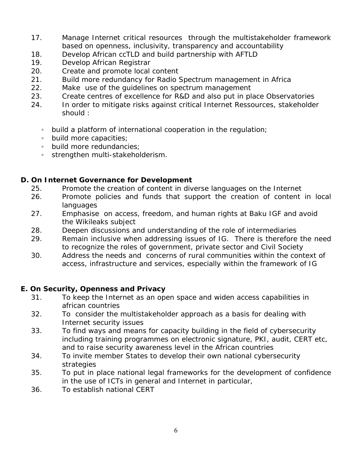- 17. Manage Internet critical resources through the multistakeholder framework based on openness, inclusivity, transparency and accountability
- 18. Develop African ccTLD and build partnership with AFTLD
- 19. Develop African Registrar
- 20. Create and promote local content
- 21. Build more redundancy for Radio Spectrum management in Africa
- 22. Make use of the guidelines on spectrum management
- 23. Create centres of excellence for R&D and also put in place Observatories
- 24. In order to mitigate risks against critical Internet Ressources, stakeholder should :
	- build a platform of international cooperation in the regulation;
	- build more capacities;
	- build more redundancies;
	- strengthen multi-stakeholderism.

## **D. On Internet Governance for Development**

- 25. Promote the creation of content in diverse languages on the Internet
- 26. Promote policies and funds that support the creation of content in local languages
- 27. Emphasise on access, freedom, and human rights at Baku IGF and avoid the Wikileaks subject
- 28. Deepen discussions and understanding of the role of intermediaries
- 29. Remain inclusive when addressing issues of IG. There is therefore the need to recognize the roles of government, private sector and Civil Society
- 30. Address the needs and concerns of rural communities within the context of access, infrastructure and services, especially within the framework of IG

## **E. On Security, Openness and Privacy**

- 31. To keep the Internet as an open space and widen access capabilities in african countries
- 32. To consider the multistakeholder approach as a basis for dealing with Internet security issues
- 33. To find ways and means for capacity building in the field of cybersecurity including training programmes on electronic signature, PKI, audit, CERT etc, and to raise security awareness level in the African countries
- 34. To invite member States to develop their own national cybersecurity strategies
- 35. To put in place national legal frameworks for the development of confidence in the use of ICTs in general and Internet in particular,
- 36. To establish national CERT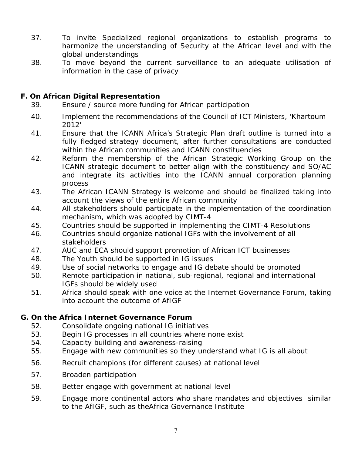- 37. To invite Specialized regional organizations to establish programs to harmonize the understanding of Security at the African level and with the global understandings
- 38. To move beyond the current surveillance to an adequate utilisation of information in the case of privacy

## **F. On African Digital Representation**

- 39. Ensure / source more funding for African participation
- 40. Implement the recommendations of the Council of ICT Ministers, 'Khartoum 2012'
- 41. Ensure that the ICANN Africa's Strategic Plan draft outline is turned into a fully fledged strategy document, after further consultations are conducted within the African communities and ICANN constituencies
- 42. Reform the membership of the African Strategic Working Group on the ICANN strategic document to better align with the constituency and SO/AC and integrate its activities into the ICANN annual corporation planning process
- 43. The African ICANN Strategy is welcome and should be finalized taking into account the views of the entire African community
- 44. All stakeholders should participate in the implementation of the coordination mechanism, which was adopted by CIMT-4
- 45. Countries should be supported in implementing the CIMT-4 Resolutions
- 46. Countries should organize national IGFs with the involvement of all stakeholders
- 47. AUC and ECA should support promotion of African ICT businesses
- 48. The Youth should be supported in IG issues
- 49. Use of social networks to engage and IG debate should be promoted
- 50. Remote participation in national, sub-regional, regional and international IGFs should be widely used
- 51. Africa should speak with one voice at the Internet Governance Forum, taking into account the outcome of AfIGF

## **G. On the Africa Internet Governance Forum**

- 52. Consolidate ongoing national IG initiatives
- 53. Begin IG processes in all countries where none exist
- 54. Capacity building and awareness-raising
- 55. Engage with new communities so they understand what IG is all about
- 56. Recruit champions (for different causes) at national level
- 57. Broaden participation
- 58. Better engage with government at national level
- 59. Engage more continental actors who share mandates and objectives similar to the AfIGF, such as theAfrica Governance Institute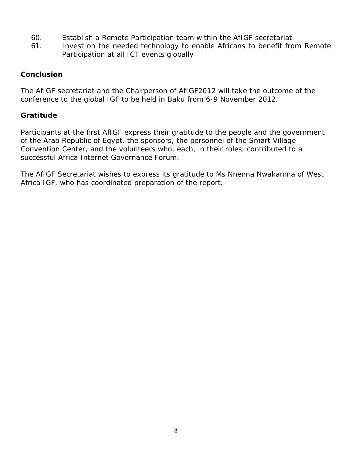- 60. Establish a Remote Participation team within the AfIGF secretariat
- 61. Invest on the needed technology to enable Africans to benefit from Remote Participation at all ICT events globally

### **Conclusion**

The AfIGF secretariat and the Chairperson of AfIGF2012 will take the outcome of the conference to the global IGF to be held in Baku from 6-9 November 2012.

## **Gratitude**

Participants at the first AfIGF express their gratitude to the people and the government of the Arab Republic of Egypt, the sponsors, the personnel of the Smart Village Convention Center, and the volunteers who, each, in their roles, contributed to a successful Africa Internet Governance Forum.

The AfIGF Secretariat wishes to express its gratitude to Ms Nnenna Nwakanma of West Africa IGF, who has coordinated preparation of the report.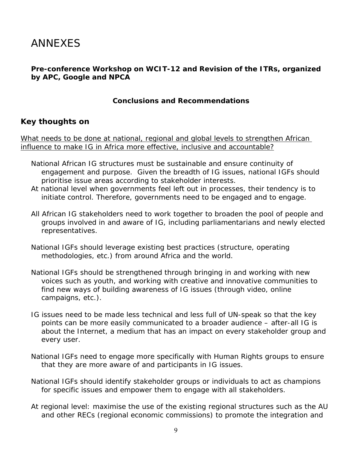# ANNEXES

## **Pre-conference Workshop on WCIT-12 and Revision of the ITRs, organized by APC, Google and NPCA**

### **Conclusions and Recommendations**

## **Key thoughts on**

What needs to be done at national, regional and global levels to strengthen African influence to make IG in Africa more effective, inclusive and accountable?

- National African IG structures must be sustainable and ensure continuity of engagement and purpose. Given the breadth of IG issues, national IGFs should prioritise issue areas according to stakeholder interests.
- At national level when governments feel left out in processes, their tendency is to initiate control. Therefore, governments need to be engaged and to engage.
- All African IG stakeholders need to work together to broaden the pool of people and groups involved in and aware of IG, including parliamentarians and newly elected representatives.
- National IGFs should leverage existing best practices (structure, operating methodologies, etc.) from around Africa and the world.
- National IGFs should be strengthened through bringing in and working with new voices such as youth, and working with creative and innovative communities to find new ways of building awareness of IG issues (through video, online campaigns, etc.).
- IG issues need to be made less technical and less full of UN-speak so that the key points can be more easily communicated to a broader audience – after-all IG is about the Internet, a medium that has an impact on every stakeholder group and every user.
- National IGFs need to engage more specifically with Human Rights groups to ensure that they are more aware of and participants in IG issues.
- National IGFs should identify stakeholder groups or individuals to act as champions for specific issues and empower them to engage with all stakeholders.
- At regional level: maximise the use of the existing regional structures such as the AU and other RECs (regional economic commissions) to promote the integration and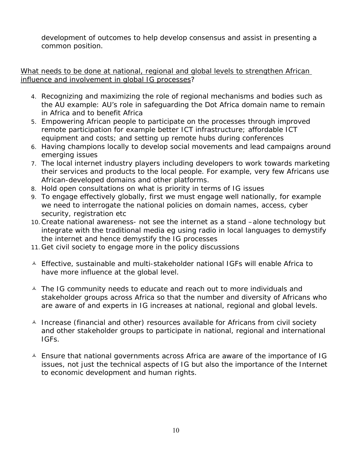development of outcomes to help develop consensus and assist in presenting a common position.

### What needs to be done at national, regional and global levels to strengthen African influence and involvement in global IG processes?

- 4. Recognizing and maximizing the role of regional mechanisms and bodies such as the AU example: AU's role in safeguarding the Dot Africa domain name to remain in Africa and to benefit Africa
- 5. Empowering African people to participate on the processes through improved remote participation for example better ICT infrastructure; affordable ICT equipment and costs; and setting up remote hubs during conferences
- 6. Having champions locally to develop social movements and lead campaigns around emerging issues
- 7. The local internet industry players including developers to work towards marketing their services and products to the local people. For example, very few Africans use African-developed domains and other platforms.
- 8. Hold open consultations on what is priority in terms of IG issues
- 9. To engage effectively globally, first we must engage well nationally, for example we need to interrogate the national policies on domain names, access, cyber security, registration etc
- 10.Create national awareness- not see the internet as a stand –alone technology but integrate with the traditional media eg using radio in local languages to demystify the internet and hence demystify the IG processes
- 11.Get civil society to engage more in the policy discussions
- $\triangle$  Effective, sustainable and multi-stakeholder national IGFs will enable Africa to have more influence at the global level.
- $\triangle$  The IG community needs to educate and reach out to more individuals and stakeholder groups across Africa so that the number and diversity of Africans who are aware of and experts in IG increases at national, regional and global levels.
- $\triangle$  Increase (financial and other) resources available for Africans from civil society and other stakeholder groups to participate in national, regional and international IGFs.
- $\triangle$  Ensure that national governments across Africa are aware of the importance of IG issues, not just the technical aspects of IG but also the importance of the Internet to economic development and human rights.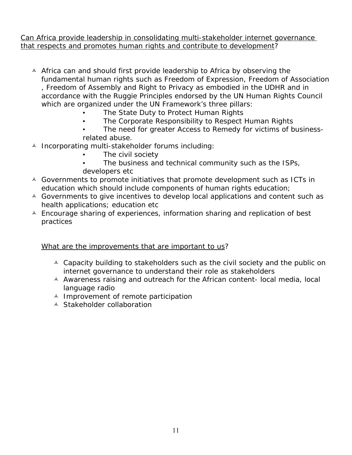Can Africa provide leadership in consolidating multi-stakeholder internet governance that respects and promotes human rights and contribute to development?

- $\triangle$  Africa can and should first provide leadership to Africa by observing the fundamental human rights such as Freedom of Expression, Freedom of Association , Freedom of Assembly and Right to Privacy as embodied in the UDHR and in accordance with the Ruggie Principles endorsed by the UN Human Rights Council which are organized under the UN Framework's three pillars:
	- The State Duty to Protect Human Rights
	- The Corporate Responsibility to Respect Human Rights
	- The need for greater Access to Remedy for victims of businessrelated abuse.
- $\triangle$  Incorporating multi-stakeholder forums including:
	- The civil society
	- The business and technical community such as the ISPs, developers etc
- $\triangle$  Governments to promote initiatives that promote development such as ICTs in education which should include components of human rights education;
- $\triangle$  Governments to give incentives to develop local applications and content such as health applications; education etc
- $\triangle$  Encourage sharing of experiences, information sharing and replication of best practices

## What are the improvements that are important to us?

- $\triangle$  Capacity building to stakeholders such as the civil society and the public on internet governance to understand their role as stakeholders
- $\triangle$  Awareness raising and outreach for the African content- local media, local language radio
- $\triangle$  Improvement of remote participation
- $\triangle$  Stakeholder collaboration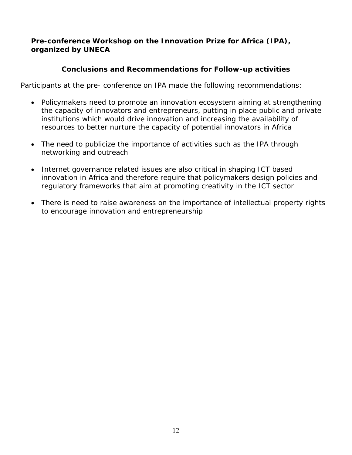## **Pre-conference Workshop on the Innovation Prize for Africa (IPA), organized by UNECA**

## **Conclusions and Recommendations for Follow-up activities**

Participants at the pre- conference on IPA made the following recommendations:

- Policymakers need to promote an innovation ecosystem aiming at strengthening the capacity of innovators and entrepreneurs, putting in place public and private institutions which would drive innovation and increasing the availability of resources to better nurture the capacity of potential innovators in Africa
- The need to publicize the importance of activities such as the IPA through networking and outreach
- Internet governance related issues are also critical in shaping ICT based innovation in Africa and therefore require that policymakers design policies and regulatory frameworks that aim at promoting creativity in the ICT sector
- There is need to raise awareness on the importance of intellectual property rights to encourage innovation and entrepreneurship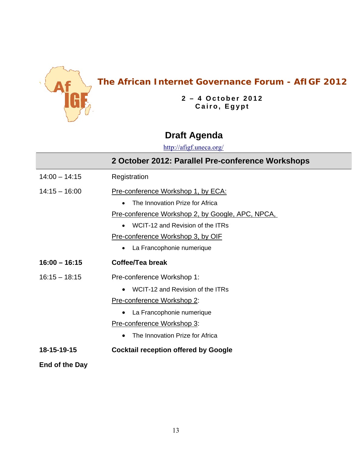

# **The African Internet Governance Forum - AfIGF 2012**

**2 – 4 October 2012 Cairo, Egypt**

# **Draft Agenda**

http://afigf.uneca.org/

|                 | 2 October 2012: Parallel Pre-conference Workshops                                                                                                                                                                                                    |
|-----------------|------------------------------------------------------------------------------------------------------------------------------------------------------------------------------------------------------------------------------------------------------|
| $14:00 - 14:15$ | Registration                                                                                                                                                                                                                                         |
| $14:15 - 16:00$ | Pre-conference Workshop 1, by ECA:<br>The Innovation Prize for Africa<br><u>Pre-conference Workshop 2, by Google, APC, NPCA, </u><br>WCIT-12 and Revision of the ITRs<br>Pre-conference Workshop 3, by OIF<br>La Francophonie numerique<br>$\bullet$ |
| $16:00 - 16:15$ | Coffee/Tea break                                                                                                                                                                                                                                     |
| $16:15 - 18:15$ | Pre-conference Workshop 1:<br>WCIT-12 and Revision of the ITRs<br>Pre-conference Workshop 2:<br>La Francophonie numerique<br>Pre-conference Workshop 3:<br>The Innovation Prize for Africa                                                           |
| 18-15-19-15     | <b>Cocktail reception offered by Google</b>                                                                                                                                                                                                          |
| End of the Day  |                                                                                                                                                                                                                                                      |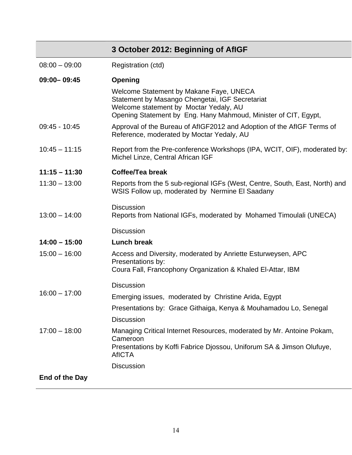|                 | 3 October 2012: Beginning of AfIGF                                                                                                                                                                      |
|-----------------|---------------------------------------------------------------------------------------------------------------------------------------------------------------------------------------------------------|
| $08:00 - 09:00$ | Registration (ctd)                                                                                                                                                                                      |
| $09:00 - 09:45$ | Opening                                                                                                                                                                                                 |
|                 | Welcome Statement by Makane Faye, UNECA<br>Statement by Masango Chengetai, IGF Secretariat<br>Welcome statement by Moctar Yedaly, AU<br>Opening Statement by Eng. Hany Mahmoud, Minister of CIT, Egypt, |
| 09:45 - 10:45   | Approval of the Bureau of AfIGF2012 and Adoption of the AfIGF Terms of<br>Reference, moderated by Moctar Yedaly, AU                                                                                     |
| $10:45 - 11:15$ | Report from the Pre-conference Workshops (IPA, WCIT, OIF), moderated by:<br>Michel Linze, Central African IGF                                                                                           |
| $11:15 - 11:30$ | Coffee/Tea break                                                                                                                                                                                        |
| $11:30 - 13:00$ | Reports from the 5 sub-regional IGFs (West, Centre, South, East, North) and<br>WSIS Follow up, moderated by Nermine El Saadany                                                                          |
| $13:00 - 14:00$ | <b>Discussion</b><br>Reports from National IGFs, moderated by Mohamed Timoulali (UNECA)                                                                                                                 |
|                 | <b>Discussion</b>                                                                                                                                                                                       |
| $14:00 - 15:00$ | <b>Lunch break</b>                                                                                                                                                                                      |
| $15:00 - 16:00$ | Access and Diversity, moderated by Anriette Esturweysen, APC<br>Presentations by:<br>Coura Fall, Francophony Organization & Khaled El-Attar, IBM                                                        |
|                 | <b>Discussion</b>                                                                                                                                                                                       |
| $16:00 - 17:00$ | Emerging issues, moderated by Christine Arida, Egypt                                                                                                                                                    |
|                 | Presentations by: Grace Githaiga, Kenya & Mouhamadou Lo, Senegal                                                                                                                                        |
|                 | <b>Discussion</b>                                                                                                                                                                                       |
| $17:00 - 18:00$ | Managing Critical Internet Resources, moderated by Mr. Antoine Pokam,<br>Cameroon<br>Presentations by Koffi Fabrice Djossou, Uniforum SA & Jimson Olufuye,<br><b>AfICTA</b>                             |
|                 | <b>Discussion</b>                                                                                                                                                                                       |
| End of the Day  |                                                                                                                                                                                                         |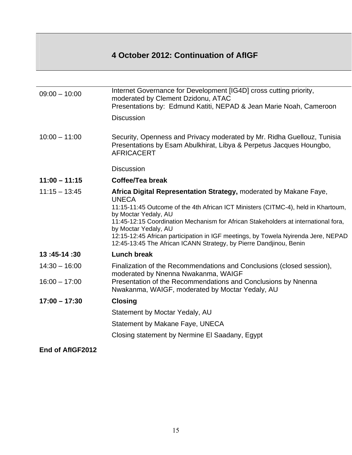# **4 October 2012: Continuation of AfIGF**

| $09:00 - 10:00$ | Internet Governance for Development [IG4D] cross cutting priority,<br>moderated by Clement Dzidonu, ATAC<br>Presentations by: Edmund Katiti, NEPAD & Jean Marie Noah, Cameroon  |
|-----------------|---------------------------------------------------------------------------------------------------------------------------------------------------------------------------------|
|                 | <b>Discussion</b>                                                                                                                                                               |
| $10:00 - 11:00$ | Security, Openness and Privacy moderated by Mr. Ridha Guellouz, Tunisia<br>Presentations by Esam Abulkhirat, Libya & Perpetus Jacques Houngbo,<br><b>AFRICACERT</b>             |
|                 | <b>Discussion</b>                                                                                                                                                               |
| $11:00 - 11:15$ | Coffee/Tea break                                                                                                                                                                |
| $11:15 - 13:45$ | Africa Digital Representation Strategy, moderated by Makane Faye,<br><b>UNECA</b>                                                                                               |
|                 | 11:15-11:45 Outcome of the 4th African ICT Ministers (CITMC-4), held in Khartoum,                                                                                               |
|                 | by Moctar Yedaly, AU<br>11:45-12:15 Coordination Mechanism for African Stakeholders at international fora,                                                                      |
|                 | by Moctar Yedaly, AU<br>12:15-12:45 African participation in IGF meetings, by Towela Nyirenda Jere, NEPAD<br>12:45-13:45 The African ICANN Strategy, by Pierre Dandjinou, Benin |
| 13:45-14:30     | <b>Lunch break</b>                                                                                                                                                              |
| $14:30 - 16:00$ | Finalization of the Recommendations and Conclusions (closed session),<br>moderated by Nnenna Nwakanma, WAIGF                                                                    |
| $16:00 - 17:00$ | Presentation of the Recommendations and Conclusions by Nnenna<br>Nwakanma, WAIGF, moderated by Moctar Yedaly, AU                                                                |
| $17:00 - 17:30$ | <b>Closing</b>                                                                                                                                                                  |
|                 | Statement by Moctar Yedaly, AU                                                                                                                                                  |
|                 | Statement by Makane Faye, UNECA                                                                                                                                                 |
|                 | Closing statement by Nermine El Saadany, Egypt                                                                                                                                  |
|                 |                                                                                                                                                                                 |

## **End of AfIGF2012**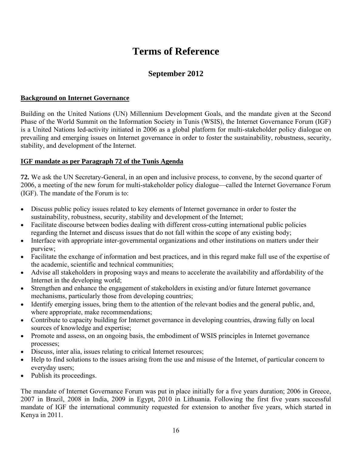# **Terms of Reference**

# **September 2012**

#### **Background on Internet Governance**

Building on the United Nations (UN) Millennium Development Goals, and the mandate given at the Second Phase of the World Summit on the Information Society in Tunis (WSIS), the Internet Governance Forum (IGF) is a United Nations led-activity initiated in 2006 as a global platform for multi-stakeholder policy dialogue on prevailing and emerging issues on Internet governance in order to foster the sustainability, robustness, security, stability, and development of the Internet.

#### **IGF mandate as per Paragraph 72 of the Tunis Agenda**

**72.** We ask the UN Secretary-General, in an open and inclusive process, to convene, by the second quarter of 2006, a meeting of the new forum for multi-stakeholder policy dialogue—called the Internet Governance Forum (IGF). The mandate of the Forum is to:

- Discuss public policy issues related to key elements of Internet governance in order to foster the sustainability, robustness, security, stability and development of the Internet;
- Facilitate discourse between bodies dealing with different cross-cutting international public policies regarding the Internet and discuss issues that do not fall within the scope of any existing body;
- Interface with appropriate inter-governmental organizations and other institutions on matters under their purview;
- Facilitate the exchange of information and best practices, and in this regard make full use of the expertise of the academic, scientific and technical communities;
- Advise all stakeholders in proposing ways and means to accelerate the availability and affordability of the Internet in the developing world;
- Strengthen and enhance the engagement of stakeholders in existing and/or future Internet governance mechanisms, particularly those from developing countries;
- Identify emerging issues, bring them to the attention of the relevant bodies and the general public, and, where appropriate, make recommendations;
- Contribute to capacity building for Internet governance in developing countries, drawing fully on local sources of knowledge and expertise;
- Promote and assess, on an ongoing basis, the embodiment of WSIS principles in Internet governance processes;
- Discuss, inter alia, issues relating to critical Internet resources;
- Help to find solutions to the issues arising from the use and misuse of the Internet, of particular concern to everyday users;
- Publish its proceedings.

The mandate of Internet Governance Forum was put in place initially for a five years duration; 2006 in Greece, 2007 in Brazil, 2008 in India, 2009 in Egypt, 2010 in Lithuania. Following the first five years successful mandate of IGF the international community requested for extension to another five years, which started in Kenya in 2011.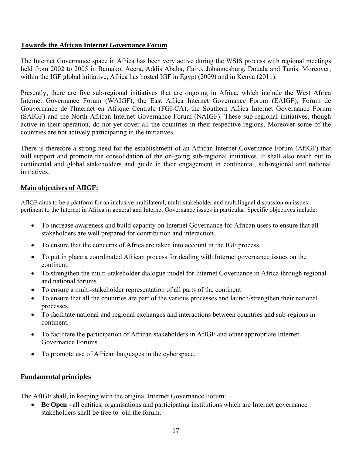#### **Towards the African Internet Governance Forum**

The Internet Governance space in Africa has been very active during the WSIS process with regional meetings held from 2002 to 2005 in Bamako, Accra, Addis Ababa, Cairo, Johannesburg, Douala and Tunis. Moreover, within the IGF global initiative, Africa has hosted IGF in Egypt (2009) and in Kenya (2011).

Presently, there are five sub-regional initiatives that are ongoing in Africa; which include the West Africa Internet Governance Forum (WAIGF), the East Africa Internet Governance Forum (EAIGF), Forum de Gouvernance de l'Internet en Afrique Centrale (FGI-CA), the Southern Africa Internet Governance Forum (SAIGF) and the North African Internet Governance Forum (NAIGF). These sub-regional initiatives, though active in their operation, do not yet cover all the countries in their respective regions. Moreover some of the countries are not actively participating in the initiatives

There is therefore a strong need for the establishment of an African Internet Governance Forum (AfIGF) that will support and promote the consolidation of the on-going sub-regional initiatives. It shall also reach out to continental and global stakeholders and guide in their engagement in continental, sub-regional and national initiatives.

#### **Main objectives of AfIGF:**

AfIGF aims to be a platform for an inclusive multilateral, multi-stakeholder and multilingual discussion on issues pertinent to the Internet in Africa in general and Internet Governance issues in particular. Specific objectives include:

- To increase awareness and build capacity on Internet Governance for African users to ensure that all stakeholders are well prepared for contribution and interaction.
- To ensure that the concerns of Africa are taken into account in the IGF process.
- To put in place a coordinated African process for dealing with Internet governance issues on the continent.
- To strengthen the multi-stakeholder dialogue model for Internet Governance in Africa through regional and national forums.
- To ensure a multi-stakeholder representation of all parts of the continent
- To ensure that all the countries are part of the various processes and launch/strengthen their national processes.
- To facilitate national and regional exchanges and interactions between countries and sub-regions in continent.
- To facilitate the participation of African stakeholders in AfIGF and other appropriate Internet Governance Forums.
- To promote use of African languages in the cyberspace.

#### **Fundamental principles**

The AfIGF shall, in keeping with the original Internet Governance Forum:

• **Be Open** - all entities, organisations and participating institutions which are Internet governance stakeholders shall be free to join the forum.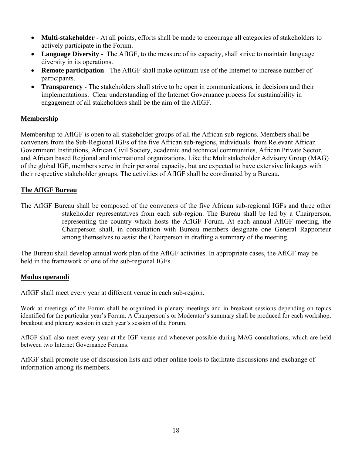- **Multi-stakeholder** At all points, efforts shall be made to encourage all categories of stakeholders to actively participate in the Forum.
- **Language Diversity** The AfIGF, to the measure of its capacity, shall strive to maintain language diversity in its operations.
- **Remote participation** The AfIGF shall make optimum use of the Internet to increase number of participants.
- **Transparency** The stakeholders shall strive to be open in communications, in decisions and their implementations. Clear understanding of the Internet Governance process for sustainability in engagement of all stakeholders shall be the aim of the AfIGF.

#### **Membership**

Membership to AfIGF is open to all stakeholder groups of all the African sub-regions. Members shall be conveners from the Sub-Regional IGFs of the five African sub-regions, individuals from Relevant African Government Institutions, African Civil Society, academic and technical communities, African Private Sector, and African based Regional and international organizations. Like the Multistakeholder Advisory Group (MAG) of the global IGF, members serve in their personal capacity, but are expected to have extensive linkages with their respective stakeholder groups. The activities of AfIGF shall be coordinated by a Bureau.

#### **The AfIGF Bureau**

The AfIGF Bureau shall be composed of the conveners of the five African sub-regional IGFs and three other stakeholder representatives from each sub-region. The Bureau shall be led by a Chairperson, representing the country which hosts the AfIGF Forum. At each annual AfIGF meeting, the Chairperson shall, in consultation with Bureau members designate one General Rapporteur among themselves to assist the Chairperson in drafting a summary of the meeting.

The Bureau shall develop annual work plan of the AfIGF activities. In appropriate cases, the AfIGF may be held in the framework of one of the sub-regional IGFs.

#### **Modus operandi**

AfIGF shall meet every year at different venue in each sub-region.

Work at meetings of the Forum shall be organized in plenary meetings and in breakout sessions depending on topics identified for the particular year's Forum. A Chairperson's or Moderator's summary shall be produced for each workshop, breakout and plenary session in each year's session of the Forum.

AfIGF shall also meet every year at the IGF venue and whenever possible during MAG consultations, which are held between two Internet Governance Forums.

AfIGF shall promote use of discussion lists and other online tools to facilitate discussions and exchange of information among its members.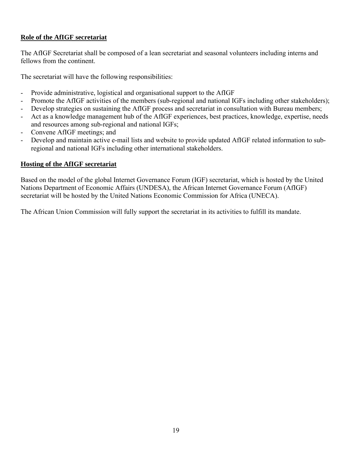## **Role of the AfIGF secretariat**

The AfIGF Secretariat shall be composed of a lean secretariat and seasonal volunteers including interns and fellows from the continent.

The secretariat will have the following responsibilities:

- Provide administrative, logistical and organisational support to the AfIGF
- Promote the AfIGF activities of the members (sub-regional and national IGFs including other stakeholders);
- Develop strategies on sustaining the AfIGF process and secretariat in consultation with Bureau members;
- Act as a knowledge management hub of the AfIGF experiences, best practices, knowledge, expertise, needs and resources among sub-regional and national IGFs;
- Convene AfIGF meetings; and
- Develop and maintain active e-mail lists and website to provide updated AfIGF related information to subregional and national IGFs including other international stakeholders.

#### **Hosting of the AfIGF secretariat**

Based on the model of the global Internet Governance Forum (IGF) secretariat, which is hosted by the United Nations Department of Economic Affairs (UNDESA), the African Internet Governance Forum (AfIGF) secretariat will be hosted by the United Nations Economic Commission for Africa (UNECA).

The African Union Commission will fully support the secretariat in its activities to fulfill its mandate.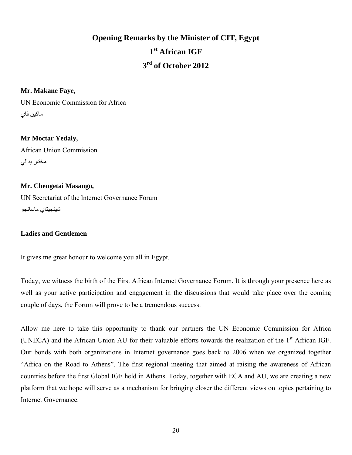# **Opening Remarks by the Minister of CIT, Egypt 1st African IGF 3rd of October 2012**

#### **Mr. Makane Faye,**

UN Economic Commission for Africa ماكين فاي

#### **Mr Moctar Yedaly,**

African Union Commission مختار يدالي

#### **Mr. Chengetai Masango,**

UN Secretariat of the lnternet Governance Forum شينجيتاي ماسانجو

#### **Ladies and Gentlemen**

It gives me great honour to welcome you all in Egypt.

Today, we witness the birth of the First African Internet Governance Forum. It is through your presence here as well as your active participation and engagement in the discussions that would take place over the coming couple of days, the Forum will prove to be a tremendous success.

Allow me here to take this opportunity to thank our partners the UN Economic Commission for Africa (UNECA) and the African Union AU for their valuable efforts towards the realization of the 1<sup>st</sup> African IGF. Our bonds with both organizations in Internet governance goes back to 2006 when we organized together "Africa on the Road to Athens". The first regional meeting that aimed at raising the awareness of African countries before the first Global IGF held in Athens. Today, together with ECA and AU, we are creating a new platform that we hope will serve as a mechanism for bringing closer the different views on topics pertaining to Internet Governance.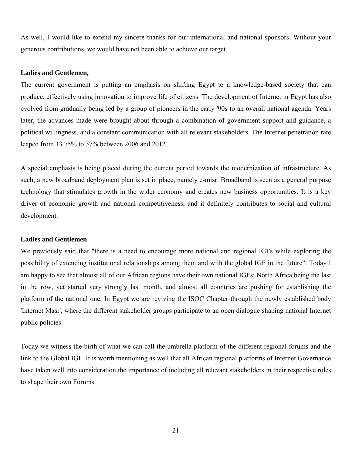As well, I would like to extend my sincere thanks for our international and national sponsors. Without your generous contributions, we would have not been able to achieve our target.

#### **Ladies and Gentlemen,**

The current government is putting an emphasis on shifting Egypt to a knowledge-based society that can produce, effectively using innovation to improve life of citizens. The development of Internet in Egypt has also evolved from gradually being led by a group of pioneers in the early '90s to an overall national agenda. Years later, the advances made were brought about through a combination of government support and guidance, a political willingness, and a constant communication with all relevant stakeholders. The Internet penetration rate leaped from 13.75% to 37% between 2006 and 2012.

A special emphasis is being placed during the current period towards the modernization of infrastructure. As such, a new broadband deployment plan is set in place, namely e-misr. Broadband is seen as a general purpose technology that stimulates growth in the wider economy and creates new business opportunities. It is a key driver of economic growth and national competitiveness, and it definitely contributes to social and cultural development.

#### **Ladies and Gentlemen**

We previously said that "there is a need to encourage more national and regional IGFs while exploring the possibility of extending institutional relationships among them and with the global IGF in the future". Today I am happy to see that almost all of our African regions have their own national IGFs; North Africa being the last in the row, yet started very strongly last month, and almost all countries are pushing for establishing the platform of the national one. In Egypt we are reviving the ISOC Chapter through the newly established body 'Internet Masr', where the different stakeholder groups participate to an open dialogue shaping national Internet public policies.

Today we witness the birth of what we can call the umbrella platform of the different regional forums and the link to the Global IGF. It is worth mentioning as well that all African regional platforms of Internet Governance have taken well into consideration the importance of including all relevant stakeholders in their respective roles to shape their own Forums.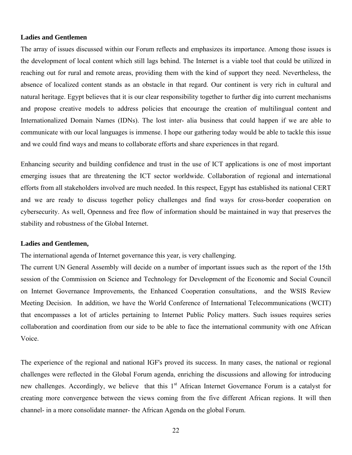#### **Ladies and Gentlemen**

The array of issues discussed within our Forum reflects and emphasizes its importance. Among those issues is the development of local content which still lags behind. The Internet is a viable tool that could be utilized in reaching out for rural and remote areas, providing them with the kind of support they need. Nevertheless, the absence of localized content stands as an obstacle in that regard. Our continent is very rich in cultural and natural heritage. Egypt believes that it is our clear responsibility together to further dig into current mechanisms and propose creative models to address policies that encourage the creation of multilingual content and Internationalized Domain Names (IDNs). The lost inter- alia business that could happen if we are able to communicate with our local languages is immense. I hope our gathering today would be able to tackle this issue and we could find ways and means to collaborate efforts and share experiences in that regard.

Enhancing security and building confidence and trust in the use of ICT applications is one of most important emerging issues that are threatening the ICT sector worldwide. Collaboration of regional and international efforts from all stakeholders involved are much needed. In this respect, Egypt has established its national CERT and we are ready to discuss together policy challenges and find ways for cross-border cooperation on cybersecurity. As well, Openness and free flow of information should be maintained in way that preserves the stability and robustness of the Global Internet.

#### **Ladies and Gentlemen,**

The international agenda of Internet governance this year, is very challenging.

The current UN General Assembly will decide on a number of important issues such as the report of the 15th session of the Commission on Science and Technology for Development of the Economic and Social Council on Internet Governance Improvements, the Enhanced Cooperation consultations, and the WSIS Review Meeting Decision. In addition, we have the World Conference of International Telecommunications (WCIT) that encompasses a lot of articles pertaining to Internet Public Policy matters. Such issues requires series collaboration and coordination from our side to be able to face the international community with one African Voice.

The experience of the regional and national IGF's proved its success. In many cases, the national or regional challenges were reflected in the Global Forum agenda, enriching the discussions and allowing for introducing new challenges. Accordingly, we believe that this 1<sup>st</sup> African Internet Governance Forum is a catalyst for creating more convergence between the views coming from the five different African regions. It will then channel- in a more consolidate manner- the African Agenda on the global Forum.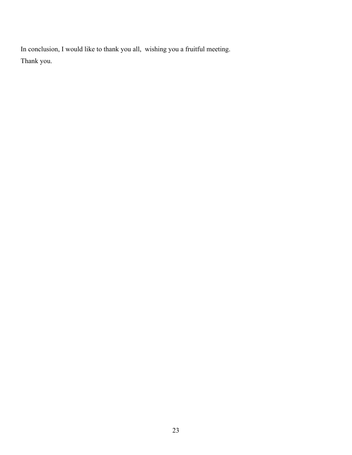In conclusion, I would like to thank you all, wishing you a fruitful meeting. Thank you.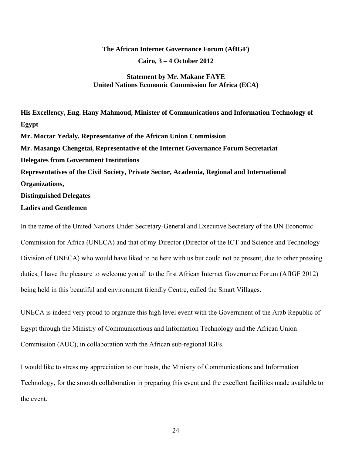#### **The African Internet Governance Forum (AfIGF)**

**Cairo, 3 – 4 October 2012** 

#### **Statement by Mr. Makane FAYE United Nations Economic Commission for Africa (ECA)**

**His Excellency, Eng. Hany Mahmoud, Minister of Communications and Information Technology of Egypt Mr. Moctar Yedaly, Representative of the African Union Commission Mr. Masango Chengetai, Representative of the Internet Governance Forum Secretariat Delegates from Government Institutions Representatives of the Civil Society, Private Sector, Academia, Regional and International Organizations, Distinguished Delegates Ladies and Gentlemen** 

In the name of the United Nations Under Secretary-General and Executive Secretary of the UN Economic Commission for Africa (UNECA) and that of my Director (Director of the ICT and Science and Technology Division of UNECA) who would have liked to be here with us but could not be present, due to other pressing duties, I have the pleasure to welcome you all to the first African Internet Governance Forum (AfIGF 2012) being held in this beautiful and environment friendly Centre, called the Smart Villages.

UNECA is indeed very proud to organize this high level event with the Government of the Arab Republic of Egypt through the Ministry of Communications and Information Technology and the African Union Commission (AUC), in collaboration with the African sub-regional IGFs.

I would like to stress my appreciation to our hosts, the Ministry of Communications and Information Technology, for the smooth collaboration in preparing this event and the excellent facilities made available to the event.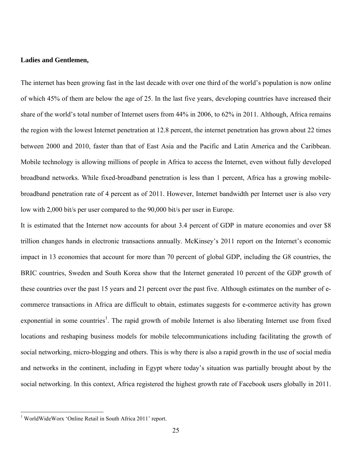#### **Ladies and Gentlemen,**

The internet has been growing fast in the last decade with over one third of the world's population is now online of which 45% of them are below the age of 25. In the last five years, developing countries have increased their share of the world's total number of Internet users from 44% in 2006, to 62% in 2011. Although, Africa remains the region with the lowest Internet penetration at 12.8 percent, the internet penetration has grown about 22 times between 2000 and 2010, faster than that of East Asia and the Pacific and Latin America and the Caribbean. Mobile technology is allowing millions of people in Africa to access the Internet, even without fully developed broadband networks. While fixed-broadband penetration is less than 1 percent, Africa has a growing mobilebroadband penetration rate of 4 percent as of 2011. However, Internet bandwidth per Internet user is also very low with 2,000 bit/s per user compared to the 90,000 bit/s per user in Europe.

It is estimated that the Internet now accounts for about 3.4 percent of GDP in mature economies and over \$8 trillion changes hands in electronic transactions annually. McKinsey's 2011 report on the Internet's economic impact in 13 economies that account for more than 70 percent of global GDP, including the G8 countries, the BRIC countries, Sweden and South Korea show that the Internet generated 10 percent of the GDP growth of these countries over the past 15 years and 21 percent over the past five. Although estimates on the number of ecommerce transactions in Africa are difficult to obtain, estimates suggests for e-commerce activity has grown exponential in some countries<sup>1</sup>. The rapid growth of mobile Internet is also liberating Internet use from fixed locations and reshaping business models for mobile telecommunications including facilitating the growth of social networking, micro-blogging and others. This is why there is also a rapid growth in the use of social media and networks in the continent, including in Egypt where today's situation was partially brought about by the social networking. In this context, Africa registered the highest growth rate of Facebook users globally in 2011.

 $\overline{a}$ 

<sup>&</sup>lt;sup>1</sup> WorldWideWorx 'Online Retail in South Africa 2011' report.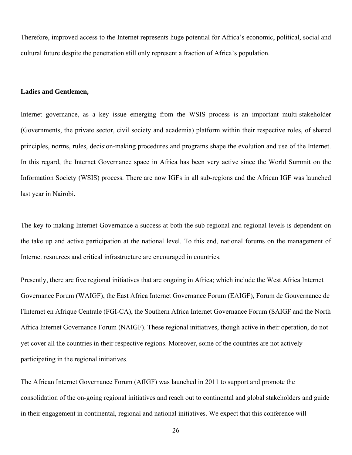Therefore, improved access to the Internet represents huge potential for Africa's economic, political, social and cultural future despite the penetration still only represent a fraction of Africa's population.

#### **Ladies and Gentlemen,**

Internet governance, as a key issue emerging from the WSIS process is an important multi-stakeholder (Governments, the private sector, civil society and academia) platform within their respective roles, of shared principles, norms, rules, decision-making procedures and programs shape the evolution and use of the Internet. In this regard, the Internet Governance space in Africa has been very active since the World Summit on the Information Society (WSIS) process. There are now IGFs in all sub-regions and the African IGF was launched last year in Nairobi.

The key to making Internet Governance a success at both the sub-regional and regional levels is dependent on the take up and active participation at the national level. To this end, national forums on the management of Internet resources and critical infrastructure are encouraged in countries.

Presently, there are five regional initiatives that are ongoing in Africa; which include the West Africa Internet Governance Forum (WAIGF), the East Africa Internet Governance Forum (EAIGF), Forum de Gouvernance de l'Internet en Afrique Centrale (FGI-CA), the Southern Africa Internet Governance Forum (SAIGF and the North Africa Internet Governance Forum (NAIGF). These regional initiatives, though active in their operation, do not yet cover all the countries in their respective regions. Moreover, some of the countries are not actively participating in the regional initiatives.

The African Internet Governance Forum (AfIGF) was launched in 2011 to support and promote the consolidation of the on-going regional initiatives and reach out to continental and global stakeholders and guide in their engagement in continental, regional and national initiatives. We expect that this conference will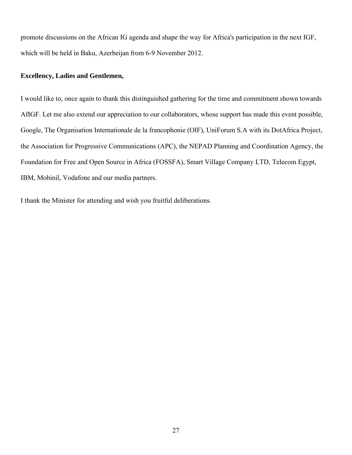promote discussions on the African IG agenda and shape the way for Africa's participation in the next IGF, which will be held in Baku, Azerbeijan from 6-9 November 2012.

#### **Excellency, Ladies and Gentlemen,**

I would like to, once again to thank this distinguished gathering for the time and commitment shown towards AfIGF. Let me also extend our appreciation to our collaborators, whose support has made this event possible, Google, The Organisation Internationale de la francophonie (OIF), UniForum S.A with its DotAfrica Project, the Association for Progressive Communications (APC), the NEPAD Planning and Coordination Agency, the Foundation for Free and Open Source in Africa (FOSSFA), Smart Village Company LTD, Telecom Egypt, IBM, Mobinil, Vodafone and our media partners.

I thank the Minister for attending and wish you fruitful deliberations.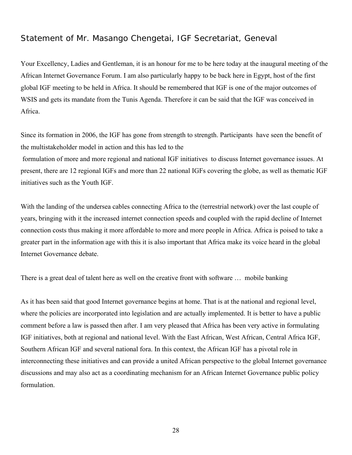# Statement of Mr. Masango Chengetai, IGF Secretariat, Geneval

Your Excellency, Ladies and Gentleman, it is an honour for me to be here today at the inaugural meeting of the African Internet Governance Forum. I am also particularly happy to be back here in Egypt, host of the first global IGF meeting to be held in Africa. It should be remembered that IGF is one of the major outcomes of WSIS and gets its mandate from the Tunis Agenda. Therefore it can be said that the IGF was conceived in Africa.

Since its formation in 2006, the IGF has gone from strength to strength. Participants have seen the benefit of the multistakeholder model in action and this has led to the

 formulation of more and more regional and national IGF initiatives to discuss Internet governance issues. At present, there are 12 regional IGFs and more than 22 national IGFs covering the globe, as well as thematic IGF initiatives such as the Youth IGF.

With the landing of the undersea cables connecting Africa to the (terrestrial network) over the last couple of years, bringing with it the increased internet connection speeds and coupled with the rapid decline of Internet connection costs thus making it more affordable to more and more people in Africa. Africa is poised to take a greater part in the information age with this it is also important that Africa make its voice heard in the global Internet Governance debate.

There is a great deal of talent here as well on the creative front with software … mobile banking

As it has been said that good Internet governance begins at home. That is at the national and regional level, where the policies are incorporated into legislation and are actually implemented. It is better to have a public comment before a law is passed then after. I am very pleased that Africa has been very active in formulating IGF initiatives, both at regional and national level. With the East African, West African, Central Africa IGF, Southern African IGF and several national fora. In this context, the African IGF has a pivotal role in interconnecting these initiatives and can provide a united African perspective to the global Internet governance discussions and may also act as a coordinating mechanism for an African Internet Governance public policy formulation.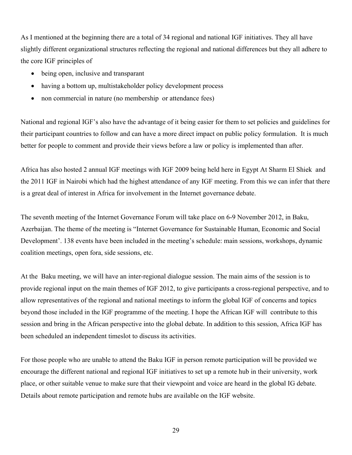As I mentioned at the beginning there are a total of 34 regional and national IGF initiatives. They all have slightly different organizational structures reflecting the regional and national differences but they all adhere to the core IGF principles of

- being open, inclusive and transparant
- having a bottom up, multistakeholder policy development process
- non commercial in nature (no membership or attendance fees)

National and regional IGF's also have the advantage of it being easier for them to set policies and guidelines for their participant countries to follow and can have a more direct impact on public policy formulation. It is much better for people to comment and provide their views before a law or policy is implemented than after.

Africa has also hosted 2 annual IGF meetings with IGF 2009 being held here in Egypt At Sharm El Shiek and the 2011 IGF in Nairobi which had the highest attendance of any IGF meeting. From this we can infer that there is a great deal of interest in Africa for involvement in the Internet governance debate.

The seventh meeting of the Internet Governance Forum will take place on 6-9 November 2012, in Baku, Azerbaijan. The theme of the meeting is "Internet Governance for Sustainable Human, Economic and Social Development'. 138 events have been included in the meeting's schedule: main sessions, workshops, dynamic coalition meetings, open fora, side sessions, etc.

At the Baku meeting, we will have an inter-regional dialogue session. The main aims of the session is to provide regional input on the main themes of IGF 2012, to give participants a cross-regional perspective, and to allow representatives of the regional and national meetings to inform the global IGF of concerns and topics beyond those included in the IGF programme of the meeting. I hope the African IGF will contribute to this session and bring in the African perspective into the global debate. In addition to this session, Africa IGF has been scheduled an independent timeslot to discuss its activities.

For those people who are unable to attend the Baku IGF in person remote participation will be provided we encourage the different national and regional IGF initiatives to set up a remote hub in their university, work place, or other suitable venue to make sure that their viewpoint and voice are heard in the global IG debate. Details about remote participation and remote hubs are available on the IGF website.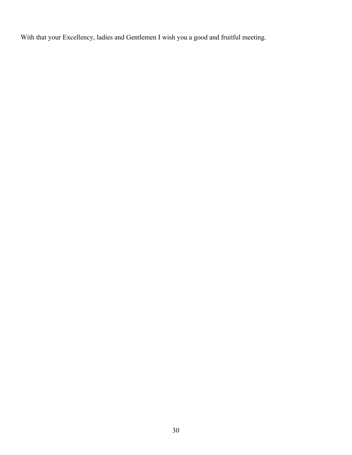With that your Excellency, ladies and Gentlemen I wish you a good and fruitful meeting.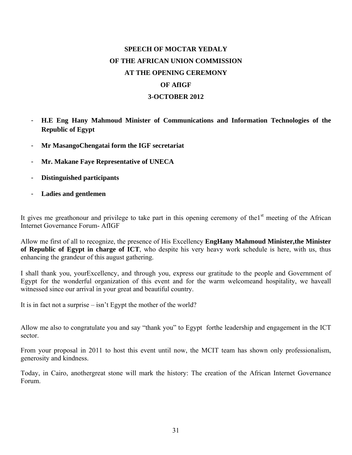# **SPEECH OF MOCTAR YEDALY OF THE AFRICAN UNION COMMISSION AT THE OPENING CEREMONY OF AfIGF 3-OCTOBER 2012**

- **H.E Eng Hany Mahmoud Minister of Communications and Information Technologies of the Republic of Egypt**
- **Mr MasangoChengatai form the IGF secretariat**
- **Mr. Makane Faye Representative of UNECA**
- **Distinguished participants**
- **Ladies and gentlemen**

It gives me greathonour and privilege to take part in this opening ceremony of the $1<sup>st</sup>$  meeting of the African Internet Governance Forum- AfIGF

Allow me first of all to recognize, the presence of His Excellency **EngHany Mahmoud Minister,the Minister of Republic of Egypt in charge of ICT**, who despite his very heavy work schedule is here, with us, thus enhancing the grandeur of this august gathering.

I shall thank you, yourExcellency, and through you, express our gratitude to the people and Government of Egypt for the wonderful organization of this event and for the warm welcomeand hospitality, we haveall witnessed since our arrival in your great and beautiful country.

It is in fact not a surprise – isn't Egypt the mother of the world?

Allow me also to congratulate you and say "thank you" to Egypt forthe leadership and engagement in the ICT sector.

From your proposal in 2011 to host this event until now, the MCIT team has shown only professionalism, generosity and kindness.

Today, in Cairo, anothergreat stone will mark the history: The creation of the African Internet Governance Forum.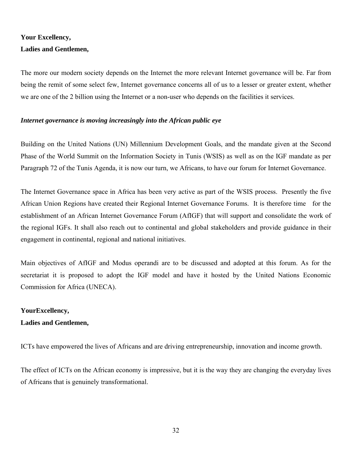# **Your Excellency, Ladies and Gentlemen,**

The more our modern society depends on the Internet the more relevant Internet governance will be. Far from being the remit of some select few, Internet governance concerns all of us to a lesser or greater extent, whether we are one of the 2 billion using the Internet or a non-user who depends on the facilities it services.

#### *Internet governance is moving increasingly into the African public eye*

Building on the United Nations (UN) Millennium Development Goals, and the mandate given at the Second Phase of the World Summit on the Information Society in Tunis (WSIS) as well as on the IGF mandate as per Paragraph 72 of the Tunis Agenda, it is now our turn, we Africans, to have our forum for Internet Governance.

The Internet Governance space in Africa has been very active as part of the WSIS process. Presently the five African Union Regions have created their Regional Internet Governance Forums. It is therefore time for the establishment of an African Internet Governance Forum (AfIGF) that will support and consolidate the work of the regional IGFs. It shall also reach out to continental and global stakeholders and provide guidance in their engagement in continental, regional and national initiatives.

Main objectives of AfIGF and Modus operandi are to be discussed and adopted at this forum. As for the secretariat it is proposed to adopt the IGF model and have it hosted by the United Nations Economic Commission for Africa (UNECA).

#### **YourExcellency,**

#### **Ladies and Gentlemen,**

ICTs have empowered the lives of Africans and are driving entrepreneurship, innovation and income growth.

The effect of ICTs on the African economy is impressive, but it is the way they are changing the everyday lives of Africans that is genuinely transformational.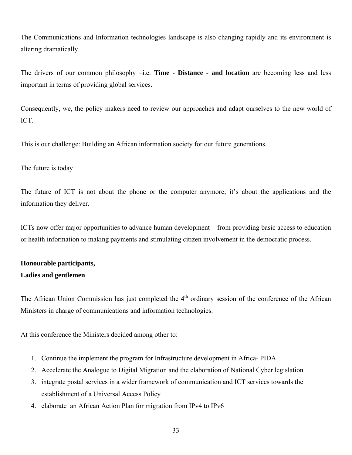The Communications and Information technologies landscape is also changing rapidly and its environment is altering dramatically.

The drivers of our common philosophy –i.e. **Time - Distance - and location** are becoming less and less important in terms of providing global services.

Consequently, we, the policy makers need to review our approaches and adapt ourselves to the new world of ICT.

This is our challenge: Building an African information society for our future generations.

#### The future is today

The future of ICT is not about the phone or the computer anymore; it's about the applications and the information they deliver.

ICTs now offer major opportunities to advance human development – from providing basic access to education or health information to making payments and stimulating citizen involvement in the democratic process.

# **Honourable participants, Ladies and gentlemen**

The African Union Commission has just completed the  $4<sup>th</sup>$  ordinary session of the conference of the African Ministers in charge of communications and information technologies.

At this conference the Ministers decided among other to:

- 1. Continue the implement the program for Infrastructure development in Africa- PIDA
- 2. Accelerate the Analogue to Digital Migration and the elaboration of National Cyber legislation
- 3. integrate postal services in a wider framework of communication and ICT services towards the establishment of a Universal Access Policy
- 4. elaborate an African Action Plan for migration from IPv4 to IPv6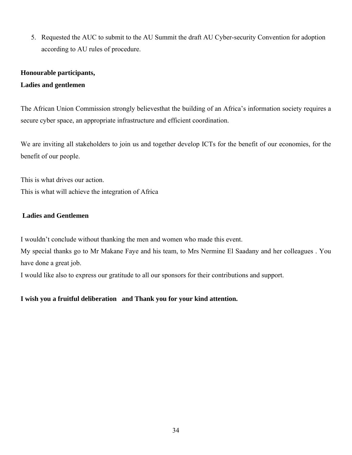5. Requested the AUC to submit to the AU Summit the draft AU Cyber-security Convention for adoption according to AU rules of procedure.

#### **Honourable participants,**

#### **Ladies and gentlemen**

The African Union Commission strongly believesthat the building of an Africa's information society requires a secure cyber space, an appropriate infrastructure and efficient coordination.

We are inviting all stakeholders to join us and together develop ICTs for the benefit of our economies, for the benefit of our people.

This is what drives our action. This is what will achieve the integration of Africa

#### **Ladies and Gentlemen**

I wouldn't conclude without thanking the men and women who made this event.

My special thanks go to Mr Makane Faye and his team, to Mrs Nermine El Saadany and her colleagues . You have done a great job.

I would like also to express our gratitude to all our sponsors for their contributions and support.

**I wish you a fruitful deliberation and Thank you for your kind attention.**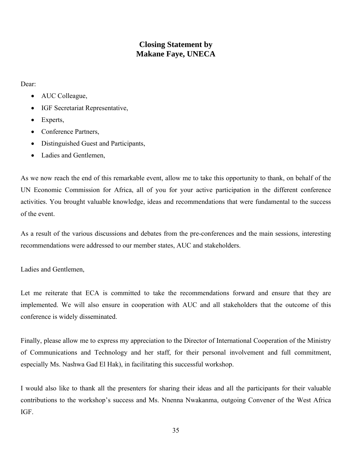# **Closing Statement by Makane Faye, UNECA**

Dear:

- AUC Colleague,
- IGF Secretariat Representative,
- Experts,
- Conference Partners,
- Distinguished Guest and Participants,
- Ladies and Gentlemen,

As we now reach the end of this remarkable event, allow me to take this opportunity to thank, on behalf of the UN Economic Commission for Africa, all of you for your active participation in the different conference activities. You brought valuable knowledge, ideas and recommendations that were fundamental to the success of the event.

As a result of the various discussions and debates from the pre-conferences and the main sessions, interesting recommendations were addressed to our member states, AUC and stakeholders.

Ladies and Gentlemen,

Let me reiterate that ECA is committed to take the recommendations forward and ensure that they are implemented. We will also ensure in cooperation with AUC and all stakeholders that the outcome of this conference is widely disseminated.

Finally, please allow me to express my appreciation to the Director of International Cooperation of the Ministry of Communications and Technology and her staff, for their personal involvement and full commitment, especially Ms. Nashwa Gad El Hak), in facilitating this successful workshop.

I would also like to thank all the presenters for sharing their ideas and all the participants for their valuable contributions to the workshop's success and Ms. Nnenna Nwakanma, outgoing Convener of the West Africa IGF.